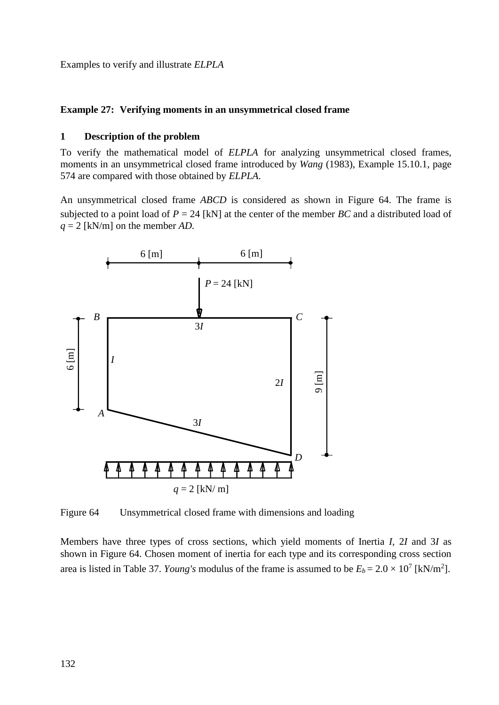Examples to verify and illustrate *ELPLA*

## **Example 27: Verifying moments in an unsymmetrical closed frame**

## **1 Description of the problem**

To verify the mathematical model of *ELPLA* for analyzing unsymmetrical closed frames, moments in an unsymmetrical closed frame introduced by *Wang* (1983), Example 15.10.1, page 574 are compared with those obtained by *ELPLA*.

An unsymmetrical closed frame *ABCD* is considered as shown in [Figure 64.](#page-0-0) The frame is subjected to a point load of  $P = 24$  [kN] at the center of the member *BC* and a distributed load of *q* = 2 [kN/m] on the member *AD.*



<span id="page-0-0"></span>Figure 64 Unsymmetrical closed frame with dimensions and loading

Members have three types of cross sections, which yield moments of Inertia *I,* 2*I* and 3*I* as shown in [Figure 64.](#page-0-0) Chosen moment of inertia for each type and its corresponding cross section area is listed in [Table 37.](#page-1-0) *Young's* modulus of the frame is assumed to be  $E_b = 2.0 \times 10^7$  [kN/m<sup>2</sup>].